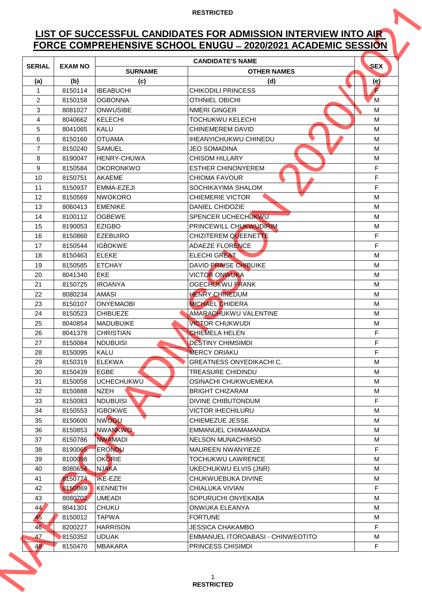# **LIST OF SUCCESSFUL CANDIDATES FOR ADMISSION INTERVIEW INTO AIR FORCE COMPREHENSIVE SCHOOL ENUGU ̶2020/2021 ACADEMIC SESSION**

| FORCE COMPREHENSIVE SCHOOL ENUGU - 2020/2021 ACADEMIC SESSION |                |                    |                                   |            |  |
|---------------------------------------------------------------|----------------|--------------------|-----------------------------------|------------|--|
| <b>SERIAL</b>                                                 | <b>EXAM NO</b> |                    | <b>CANDIDATE'S NAME</b>           | <b>SEX</b> |  |
|                                                               |                | <b>SURNAME</b>     | <b>OTHER NAMES</b>                |            |  |
| (a)                                                           | (b)            | (c)                | (d)                               | (e)        |  |
| $\mathbf{1}$                                                  | 8150114        | <b>IBEABUCHI</b>   | <b>CHIKODILI PRINCESS</b>         |            |  |
| $\overline{2}$                                                | 8150158        | <b>OGBONNA</b>     | <b>OTHNIEL OBICHI</b>             | M          |  |
| 3                                                             | 8081027        | <b>ONWUSIBE</b>    | <b>NMERI GINGER</b>               | M          |  |
| 4                                                             | 8040662        | KELECHI            | <b>TOCHUKWU KELECHI</b>           | M          |  |
| 5                                                             | 8041065        | <b>KALU</b>        | <b>CHINEMEREM DAVID</b>           | M          |  |
| 6                                                             | 8150160        | <b>OTUAMA</b>      | <b>IHEANYICHUKWU CHINEDU</b>      | M          |  |
| $\overline{7}$                                                | 8150240        | <b>SAMUEL</b>      | <b>JEO SOMADINA</b>               | M          |  |
| 8                                                             | 8190047        | <b>HENRY-CHUWA</b> | <b>CHISOM HILLARY</b>             | M          |  |
| 9                                                             | 8150584        | <b>OKORONKWO</b>   | <b>ESTHER CHINONYEREM</b>         | F          |  |
| 10                                                            | 8150751        | <b>AKAEME</b>      | <b>CHIOMA FAVOUR</b>              | F          |  |
| 11                                                            | 8150937        | EMMA-EZEJI         | SOCHIKAYIMA SHALOM                | F          |  |
| 12                                                            | 8150569        | <b>NWOKORO</b>     | <b>CHIEMERIE VICTOR</b>           | M          |  |
| 13                                                            | 8060413        | <b>EMENIKE</b>     | DANIEL CHIDOZIE                   | M          |  |
| 14                                                            | 8100112        | <b>OGBEWE</b>      | SPENCER UCHECHUKWU                | M          |  |
| 15                                                            | 8190053        | <b>EZIGBO</b>      | PRINCEWILL CHUKWUDIRIM            | M          |  |
| 16                                                            | 8150860        | <b>EZEBUIRO</b>    | CHIZITEREM QUEENETTE              | F          |  |
| 17                                                            | 8150544        | <b>IGBOKWE</b>     | <b>ADAEZE FLORENCE</b>            | F.         |  |
| 18                                                            | 8150463        | <b>ELEKE</b>       | <b>ELECHI GREAT</b>               | M          |  |
| 19                                                            | 8150585        | <b>ETCHAY</b>      | <b>DAVID PRAISE CHIBUIKE</b>      | M          |  |
| 20                                                            | 8041340        | <b>EKE</b>         | <b>VICTOR ONWUKA</b>              | M          |  |
| 21                                                            | 8150725        | <b>IROANYA</b>     | <b>OGECHUKWU FRANK</b>            | м          |  |
| 22                                                            | 8080234        | <b>AMASI</b>       | <b>HENRY CHINEDUM</b>             | M          |  |
| 23                                                            | 8150107        | <b>ONYEMAOBI</b>   | <b>MICHAEL CHIDERA</b>            | м          |  |
| 24                                                            | 8150523        | <b>CHIBUEZE</b>    | AMARACHUKWU VALENTINE             | M          |  |
| 25                                                            | 8040854        | <b>MADUBUIKE</b>   | <b>VICTOR CHUKWUDI</b>            | M          |  |
| 26                                                            | 8041378        | <b>CHRISTIAN</b>   | <b>CHIEMELA HELEN</b>             | F          |  |
| 27                                                            | 8150084        | <b>NDUBUISI</b>    | <b>DESTINY CHIMSIMDI</b>          | F.         |  |
| 28                                                            | 8150095        | <b>KALU</b>        | <b>MERCY ORIAKU</b>               | F.         |  |
| 29                                                            | 8150319        | <b>ELEKWA</b>      | <b>GREATNESS ONYEDIKACHI C.</b>   | M          |  |
| 30                                                            | 8150439        | <b>EGBE</b>        | <b>TREASURE CHIDINDU</b>          | М          |  |
| 31                                                            | 8150058        | <b>UCHECHUKWU</b>  | OSINACHI CHUKWUEMEKA              | M          |  |
| 32                                                            | 8150888        | <b>NZEH</b>        | <b>BRIGHT CHIZARAM</b>            | M          |  |
| 33                                                            | 8150083        | <b>NDUBUISI</b>    | <b>DIVINE CHIBUTONDUM</b>         | F          |  |
| 34                                                            | 8150553        | <b>IGBOKWE</b>     | <b>VICTOR IHECHILURU</b>          | M          |  |
| 35                                                            | 8150600        | <b>NWOGU</b>       | CHIEMEZUE JESSE                   | M          |  |
| 36                                                            | 8150853        | <b>NWANKWO</b>     | <b>EMMANUEL CHIMAMANDA</b>        | M          |  |
| 37                                                            | 8150786        | <b>NWAMADI</b>     | NELSON MUNACHIMSO                 | M          |  |
| 38                                                            | 8190065        | <b>ERONDU</b>      | MAUREEN NWANYIEZE                 | F          |  |
| 39                                                            | 8100098        | <b>OKORIE</b>      | TOCHUKWU LAWRENCE                 | M          |  |
| 40                                                            | 8080654        | <b>NJAKA</b>       | UKECHUKWU ELVIS (JNR)             | М          |  |
| 41                                                            | 8150774        | <b>IKE-EZE</b>     | CHUKWUEBUKA DIVINE                | M          |  |
| 42                                                            | 8150869        | <b>KENNETH</b>     | CHIALUKA VIVIAN                   | F.         |  |
| 43                                                            | 8080702        | <b>UMEADI</b>      | SOPURUCHI ONYEKABA                | M          |  |
| 44 <sup>′</sup>                                               | 8041301        | <b>CHUKU</b>       | ONWUKA ELEANYA                    | M          |  |
| 45                                                            | 8150012        | <b>TAPWA</b>       | <b>FORTUNE</b>                    | M          |  |
| 46                                                            | 8200227        | <b>HARRISON</b>    | <b>JESSICA CHAKAMBO</b>           | F.         |  |
| 47                                                            | 8150352        | <b>UDUAK</b>       | EMMANUEL ITOROABASI - CHINWEOTITO | M          |  |
| 48                                                            | 8150470        | <b>MBAKARA</b>     | PRINCESS CHISIMDI                 | F.         |  |
|                                                               |                |                    |                                   |            |  |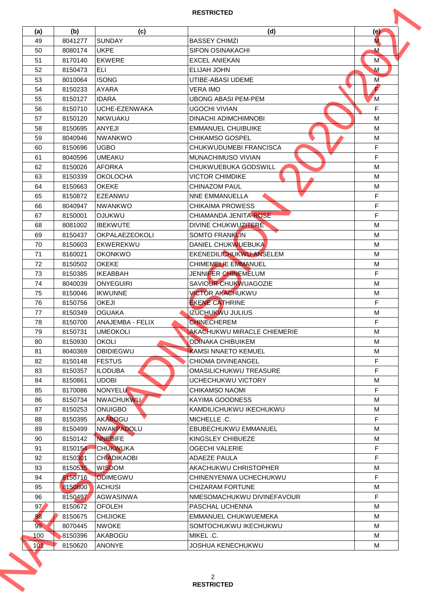| 49<br>50<br>51<br>52<br>53<br>54<br>55<br>56<br>57<br>58<br>59<br>60<br>61<br>62<br>63<br>64<br>65<br>66 | 8041277<br>8080174<br>8170140<br>8150473<br>8010064<br>8150233<br>8150127<br>8150710<br>8150120<br>8150695<br>8040946<br>8150696<br>8040596<br>8150026 | <b>SUNDAY</b><br><b>UKPE</b><br><b>EKWERE</b><br><b>ELI</b><br><b>ISONG</b><br><b>AYARA</b><br><b>IDARA</b><br>UCHE-EZENWAKA<br><b>NKWUAKU</b><br><b>ANYEJI</b> | <b>BASSEY CHIMZI</b><br><b>SIFON OSINAKACHI</b><br><b>EXCEL ANIEKAN</b><br>ELIJAH JOHN<br>UTIBE-ABASI UDEME<br><b>VERA IMO</b><br><b>UBONG ABASI PEM-PEM</b><br><b>UGOCHI VIVIAN</b> | M.<br>м<br>M<br>M<br>M<br>F |
|----------------------------------------------------------------------------------------------------------|--------------------------------------------------------------------------------------------------------------------------------------------------------|-----------------------------------------------------------------------------------------------------------------------------------------------------------------|--------------------------------------------------------------------------------------------------------------------------------------------------------------------------------------|-----------------------------|
|                                                                                                          |                                                                                                                                                        |                                                                                                                                                                 |                                                                                                                                                                                      |                             |
|                                                                                                          |                                                                                                                                                        |                                                                                                                                                                 |                                                                                                                                                                                      |                             |
|                                                                                                          |                                                                                                                                                        |                                                                                                                                                                 |                                                                                                                                                                                      |                             |
|                                                                                                          |                                                                                                                                                        |                                                                                                                                                                 |                                                                                                                                                                                      |                             |
|                                                                                                          |                                                                                                                                                        |                                                                                                                                                                 |                                                                                                                                                                                      |                             |
|                                                                                                          |                                                                                                                                                        |                                                                                                                                                                 |                                                                                                                                                                                      |                             |
|                                                                                                          |                                                                                                                                                        |                                                                                                                                                                 |                                                                                                                                                                                      | M                           |
|                                                                                                          |                                                                                                                                                        |                                                                                                                                                                 |                                                                                                                                                                                      | F                           |
|                                                                                                          |                                                                                                                                                        |                                                                                                                                                                 | <b>DINACHI ADIMCHIMNOBI</b>                                                                                                                                                          | м                           |
|                                                                                                          |                                                                                                                                                        |                                                                                                                                                                 | <b>EMMANUEL CHUIBUIKE</b>                                                                                                                                                            | M                           |
|                                                                                                          |                                                                                                                                                        | <b>NWANKWO</b>                                                                                                                                                  | <b>CHIKAMSO GOSPEL</b>                                                                                                                                                               | M                           |
|                                                                                                          |                                                                                                                                                        | <b>UGBO</b>                                                                                                                                                     | CHUKWUDUMEBI FRANCISCA                                                                                                                                                               | F                           |
|                                                                                                          |                                                                                                                                                        | <b>UMEAKU</b>                                                                                                                                                   | MUNACHIMUSO VIVIAN                                                                                                                                                                   | F.                          |
|                                                                                                          |                                                                                                                                                        | <b>AFORKA</b>                                                                                                                                                   | CHUKWUEBUKA GODSWILL                                                                                                                                                                 | M                           |
|                                                                                                          | 8150339                                                                                                                                                | <b>OKOLOCHA</b>                                                                                                                                                 | <b>VICTOR CHIMDIKE</b>                                                                                                                                                               | M                           |
|                                                                                                          | 8150663                                                                                                                                                | <b>OKEKE</b>                                                                                                                                                    | <b>CHINAZOM PAUL</b>                                                                                                                                                                 | M                           |
|                                                                                                          | 8150872                                                                                                                                                | EZEANWU                                                                                                                                                         | <b>NNE EMMANUELLA</b>                                                                                                                                                                | F.                          |
|                                                                                                          | 8040947                                                                                                                                                | <b>NWANKWO</b>                                                                                                                                                  | <b>CHIKAIMA PROWESS</b>                                                                                                                                                              | F                           |
| 67                                                                                                       | 8150001                                                                                                                                                | <b>OJUKWU</b>                                                                                                                                                   | CHIAMANDA JENITA-ROSE                                                                                                                                                                | F                           |
| 68                                                                                                       | 8081002                                                                                                                                                | <b>IBEKWUTE</b>                                                                                                                                                 | DIVINE CHUKWUZITERE                                                                                                                                                                  | M                           |
| 69                                                                                                       | 8150437                                                                                                                                                | <b>OKPALAEZEOKOLI</b>                                                                                                                                           | <b>SOMTO FRANKLIN</b>                                                                                                                                                                | M                           |
| 70                                                                                                       | 8150603                                                                                                                                                | EKWEREKWU                                                                                                                                                       | DANIEL CHUKWUEBUKA                                                                                                                                                                   | M                           |
| 71                                                                                                       | 8160021                                                                                                                                                | <b>OKONKWO</b>                                                                                                                                                  | EKENEDILICHUKWU ANSELEM                                                                                                                                                              | M                           |
| 72                                                                                                       | 8150502                                                                                                                                                | <b>OKEKE</b>                                                                                                                                                    | <b>CHIMEMELIE EMMANUEL</b>                                                                                                                                                           | M                           |
| 73                                                                                                       | 8150385                                                                                                                                                | <b>IKEABBAH</b>                                                                                                                                                 | JENNIFER CHINEMELUM                                                                                                                                                                  | F.                          |
| 74                                                                                                       | 8040039                                                                                                                                                | <b>ONYEGUIRI</b>                                                                                                                                                | SAVIOUR CHUKWUAGOZIE                                                                                                                                                                 | M                           |
| 75                                                                                                       | 8150046                                                                                                                                                | <b>IKWUNNE</b>                                                                                                                                                  | <b>VICTOR AKACHUKWU</b>                                                                                                                                                              | M                           |
| 76                                                                                                       | 8150756                                                                                                                                                | <b>OKEJI</b>                                                                                                                                                    | <b>EKENE CATHRINE</b>                                                                                                                                                                | F                           |
| 77                                                                                                       | 8150349                                                                                                                                                | <b>OGUAKA</b>                                                                                                                                                   | <b>IZUCHUKWU JULIUS</b>                                                                                                                                                              | M                           |
| 78                                                                                                       | 8150700                                                                                                                                                | ANAJEMBA - FELIX                                                                                                                                                | <b>CHINECHEREM</b>                                                                                                                                                                   | F                           |
| 79                                                                                                       | 8150731                                                                                                                                                | <b>UMEOKOLI</b>                                                                                                                                                 | <b>AKACHUKWU MIRACLE CHIEMERIE</b>                                                                                                                                                   | M                           |
| 80                                                                                                       | 8150930                                                                                                                                                | <b>OKOLI</b>                                                                                                                                                    | <b>ODINAKA CHIBUIKEM</b>                                                                                                                                                             | M                           |
| 81                                                                                                       | 8040369                                                                                                                                                | OBIDIEGWU                                                                                                                                                       | <b>KAMSI NNAETO KEMUEL</b>                                                                                                                                                           | M                           |
| 82                                                                                                       | 8150148                                                                                                                                                | <b>FESTUS</b>                                                                                                                                                   | <b>CHIOMA DIVINEANGEL</b>                                                                                                                                                            | F.                          |
| 83                                                                                                       | 8150357                                                                                                                                                | <b>ILODUBA</b>                                                                                                                                                  | OMASILICHUKWU TREASURE                                                                                                                                                               | F                           |
| 84                                                                                                       | 8150861                                                                                                                                                | <b>UDOBI</b>                                                                                                                                                    | UCHECHUKWU VICTORY                                                                                                                                                                   | М                           |
| 85                                                                                                       | 8170086                                                                                                                                                | NONYELU                                                                                                                                                         | <b>CHIKAMSO NAOMI</b>                                                                                                                                                                | F                           |
| 86                                                                                                       | 8150734                                                                                                                                                | <b>NWACHUKWU</b>                                                                                                                                                | KAYIMA GOODNESS                                                                                                                                                                      | M                           |
| 87                                                                                                       | 8150253                                                                                                                                                | <b>ONUIGBO</b>                                                                                                                                                  | KAMDILICHUKWU IKECHUKWU                                                                                                                                                              | M                           |
| 88                                                                                                       | 8150395                                                                                                                                                | <b>AKABOGU</b>                                                                                                                                                  | MICHELLE .C.                                                                                                                                                                         | F.                          |
| 89                                                                                                       | 8150499                                                                                                                                                | NWAKPADOLU                                                                                                                                                      | EBUBECHUKWU EMMANUEL                                                                                                                                                                 | м                           |
| 90                                                                                                       | 8150142                                                                                                                                                | <b>NNEBIFE</b>                                                                                                                                                  | KINGSLEY CHIBUEZE                                                                                                                                                                    | M                           |
| 91                                                                                                       | 8150154                                                                                                                                                | <b>CHUKWUKA</b>                                                                                                                                                 | <b>OGECHI VALERIE</b>                                                                                                                                                                | F.                          |
| 92                                                                                                       | 8150301                                                                                                                                                | <b>CHIADIKAOBI</b>                                                                                                                                              | <b>ADAEZE PAULA</b>                                                                                                                                                                  | F                           |
| 93                                                                                                       | 8150535                                                                                                                                                | <b>WISDOM</b>                                                                                                                                                   | AKACHUKWU CHRISTOPHER                                                                                                                                                                | M                           |
| 94                                                                                                       | 8150716                                                                                                                                                | <b>ODIMEGWU</b>                                                                                                                                                 | CHINENYENWA UCHECHUKWU                                                                                                                                                               | F.                          |
| 95                                                                                                       | 8150800                                                                                                                                                | <b>ACHUSI</b>                                                                                                                                                   | <b>CHIZARAM FORTUNE</b>                                                                                                                                                              | M                           |
| 96                                                                                                       | 8150497                                                                                                                                                | <b>AGWASINWA</b>                                                                                                                                                | NMESOMACHUKWU DIVINEFAVOUR                                                                                                                                                           | F.                          |
| 97                                                                                                       | 8150672                                                                                                                                                | <b>OFOLEH</b>                                                                                                                                                   | PASCHAL UCHENNA                                                                                                                                                                      | M                           |
| 98                                                                                                       | 8150675                                                                                                                                                | <b>CHIJIOKE</b>                                                                                                                                                 | EMMANUEL CHUKWUEMEKA                                                                                                                                                                 | M                           |
| 99                                                                                                       | 8070445                                                                                                                                                | <b>NWOKE</b>                                                                                                                                                    | SOMTOCHUKWU IKECHUKWU                                                                                                                                                                | M                           |
| 100                                                                                                      | 8150396                                                                                                                                                | AKABOGU                                                                                                                                                         | MIKEL .C.                                                                                                                                                                            | M                           |
| 101                                                                                                      | 8150620                                                                                                                                                | <b>ANONYE</b>                                                                                                                                                   | JOSHUA KENECHUKWU                                                                                                                                                                    | М                           |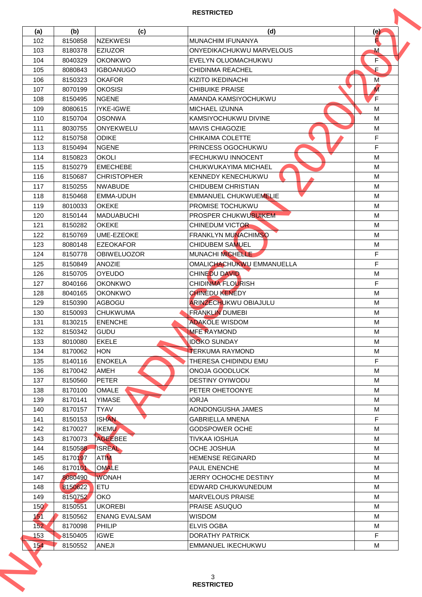| (a)  | (b)     | (c)                  | (d)                          | (e)            |
|------|---------|----------------------|------------------------------|----------------|
| 102  | 8150858 | <b>NZEKWESI</b>      | <b>MUNACHIM IFUNANYA</b>     |                |
| 103  | 8180378 | <b>EZIUZOR</b>       | ONYEDIKACHUKWU MARVELOUS     | M              |
| 104  | 8040329 | <b>OKONKWO</b>       | EVELYN OLUOMACHUKWU          | F              |
| 105  | 8080843 | <b>IGBOANUGO</b>     | <b>CHIDINMA REACHEL</b>      | E.             |
| 106  | 8150323 | <b>OKAFOR</b>        | KIZITO IKEDINACHI            | M              |
| 107  | 8070199 | <b>OKOSISI</b>       | <b>CHIBUIKE PRAISE</b>       | $\overline{M}$ |
| 108  | 8150495 | <b>NGENE</b>         | AMANDA KAMSIYOCHUKWU         | F              |
| 109  | 8080615 | <b>IYKE-IGWE</b>     | <b>MICHAEL IZUNNA</b>        | м              |
| 110  | 8150704 | <b>OSONWA</b>        | KAMSIYOCHUKWU DIVINE         | M              |
| 111  | 8030755 | <b>ONYEKWELU</b>     | <b>MAVIS CHIAGOZIE</b>       | M              |
| 112  | 8150758 | <b>ODIKE</b>         | CHIKAIMA COLETTE             | F              |
| 113  | 8150494 | <b>NGENE</b>         | PRINCESS OGOCHUKWU           | F              |
| 114  | 8150823 | <b>OKOLI</b>         | <b>IFECHUKWU INNOCENT</b>    | M              |
| 115  | 8150279 | <b>EMECHEBE</b>      | CHUKWUKAYIMA MICHAEL         | M              |
| 116  | 8150687 | <b>CHRISTOPHER</b>   | KENNEDY KENECHUKWU           | M              |
| 117  | 8150255 | <b>NWABUDE</b>       | <b>CHIDUBEM CHRISTIAN</b>    | M              |
| 118  | 8150468 | <b>EMMA-UDUH</b>     | <b>EMMANUEL CHUKWUEMELIE</b> | M              |
| 119  | 8010033 | <b>OKEKE</b>         | PROMISE TOCHUKWU             | M              |
| 120  | 8150144 | MADUABUCHI           | PROSPER CHUKWUBUIKEM         | M              |
| 121  | 8150282 | <b>OKEKE</b>         | <b>CHINEDUM VICTOR</b>       | M              |
| 122  | 8150769 | <b>UME-EZEOKE</b>    | <b>FRANKLYN MUNACHIMSO</b>   | M              |
| 123  | 8080148 | <b>EZEOKAFOR</b>     | <b>CHIDUBEM SAMUEL</b>       | M              |
| 124  | 8150778 | <b>OBIWELUOZOR</b>   | MUNACHI MICHELLE             | F.             |
| 125  | 8150849 | <b>ANOZIE</b>        | OMALICHACHUKWU EMMANUELLA    | F              |
| 126  | 8150705 | <b>OYEUDO</b>        | <b>CHINEDU DAVID</b>         | M              |
| 127  | 8040166 | <b>OKONKWO</b>       | <b>CHIDINMA FLOURISH</b>     | F              |
|      |         |                      |                              |                |
| 128  | 8040165 | <b>OKONKWO</b>       | <b>CHINEDU KENEDY</b>        | M              |
| 129  | 8150390 | AGBOGU               | <b>ARINZECHUKWU OBIAJULU</b> | M              |
| 130  | 8150093 | <b>CHUKWUMA</b>      | <b>FRANKLIN DUMEBI</b>       | M              |
| 131  | 8130215 | <b>ENENCHE</b>       | <b>ADAKOLE WISDOM</b>        | M              |
| 132  | 8150342 | <b>GUDU</b>          | <b>MFE RAYMOND</b>           | M              |
| 133  | 8010080 | <b>EKELE</b>         | <b>IDOKO SUNDAY</b>          | M              |
| 134  | 8170062 | <b>HON</b>           | <b>TERKUMA RAYMOND</b>       | M              |
| 135  | 8140116 | <b>ENOKELA</b>       | THERESA CHIDINDU EMU         | F.             |
| 136  | 8170042 | AMEH                 | ONOJA GOODLUCK               | M              |
| 137  | 8150560 | <b>PETER</b>         | DESTINY OYIWODU              | M              |
| 138  | 8170100 | <b>OMALE</b>         | PETER OHETOONYE              | M              |
| 139  | 8170141 | <b>YIMASE</b>        | <b>IORJA</b>                 | M              |
| 140  | 8170157 | <b>TYAV</b>          | AONDONGUSHA JAMES            | M              |
| 141  | 8150153 | <b>ISHAN</b>         | <b>GABRIELLA MNENA</b>       | F.             |
| 142  | 8170027 | <b>IKEMU</b>         | <b>GODSPOWER OCHE</b>        | М              |
| 143  | 8170073 | <b>AGEEBEE</b>       | <b>TIVKAA IOSHUA</b>         | M              |
| 144  | 8150588 | <b>ISREAL</b>        | <b>OCHE JOSHUA</b>           | M              |
| 145  | 8170197 | <b>ATIM</b>          | <b>HEMENSE REGINARD</b>      | M              |
| 146  | 8170101 | <b>OMALE</b>         | <b>PAUL ENENCHE</b>          | M              |
| 147  | 8080490 | <b>WONAH</b>         | JERRY OCHOCHE DESTINY        | M              |
| 148  | 8150622 | <b>ETU</b>           | EDWARD CHUKWUNEDUM           | M              |
| 149  | 8150752 | OKO                  | <b>MARVELOUS PRAISE</b>      | M              |
| 150' | 8150551 | <b>UKOREBI</b>       | <b>PRAISE ASUQUO</b>         | M              |
| 151  | 8150562 | <b>ENANG EVALSAM</b> | <b>WISDOM</b>                | M              |
| 152  | 8170098 | PHILIP               | <b>ELVIS OGBA</b>            | M              |
| 153  | 8150405 | <b>IGWE</b>          | <b>DORATHY PATRICK</b>       | F.             |
|      | 8150552 | ANEJI                | EMMANUEL IKECHUKWU           | М              |
| 154  |         |                      |                              |                |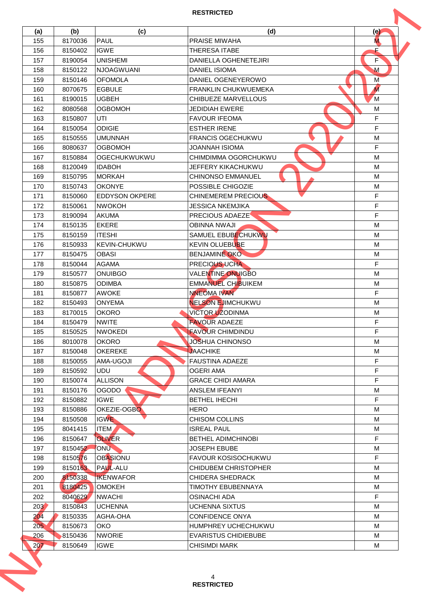| (a)        | (b)                | (c)                          | (d)                                          | $\left( e \right)$ |
|------------|--------------------|------------------------------|----------------------------------------------|--------------------|
| 155        | 8170036            | <b>PAUL</b>                  | <b>PRAISE MIWAHA</b>                         | M.                 |
| 156        | 8150402            | <b>IGWE</b>                  | THERESA ITABE                                | E                  |
| 157        | 8190054            | <b>UNISHEMI</b>              | <b>DANIELLA OGHENETEJIRI</b>                 | F                  |
| 158        | 8150122            | <b>NJOAGWUANI</b>            | <b>DANIEL ISIOMA</b>                         | M                  |
| 159        | 8150146            | <b>OFOMOLA</b>               | DANIEL OGENEYEROWO                           | M                  |
| 160        | 8070675            | <b>EGBULE</b>                | <b>FRANKLIN CHUKWUEMEKA</b>                  | $\overline{M}$     |
| 161        | 8190015            | <b>UGBEH</b>                 | <b>CHIBUEZE MARVELLOUS</b>                   | M                  |
| 162        | 8080568            | <b>OGBOMOH</b>               | <b>JEDIDIAH EWERE</b>                        | M                  |
| 163        | 8150807            | UTI                          | <b>FAVOUR IFEOMA</b>                         | F                  |
| 164        | 8150054            | <b>ODIGIE</b>                | <b>ESTHER IRENE</b>                          | F.                 |
| 165        | 8150555            | <b>UMUNNAH</b>               | <b>FRANCIS OGECHUKWU</b>                     | M                  |
| 166        | 8080637            | <b>OGBOMOH</b>               | JOANNAH ISIOMA                               | F                  |
| 167        | 8150884            | <b>OGECHUKWUKWU</b>          | CHIMDIMMA OGORCHUKWU                         | M                  |
| 168        | 8120049            | <b>IDABOH</b>                | JEFFERY KIKACHUKWU                           | M                  |
| 169        | 8150795            | <b>MORKAH</b>                | <b>CHINONSO EMMANUEL</b>                     | M                  |
| 170        | 8150743            | <b>OKONYE</b>                | POSSIBLE CHIGOZIE                            | M                  |
| 171        | 8150060            | <b>IEDDYSON OKPERE</b>       | <b>CHINEMEREM PRECIOUS</b>                   | F.                 |
| 172        | 8150061            | <b>NWOKOH</b>                | <b>JESSICA NKEMJIKA</b>                      | F                  |
| 173        | 8190094            | <b>AKUMA</b>                 | <b>PRECIOUS ADAEZE</b>                       | F                  |
| 174        | 8150135            | <b>EKERE</b>                 | <b>OBINNA NWAJI</b>                          | M                  |
| 175        | 8150159            | <b>ITESHI</b>                | SAMUEL EBUBECHUKWU                           | M                  |
| 176        | 8150933            | <b>KEVIN-CHUKWU</b>          | <b>KEVIN OLUEBUBE</b>                        | M                  |
| 177        | 8150475            | <b>OBASI</b>                 | <b>BENJAMINE OKO</b>                         | M                  |
| 178        | 8150044            | AGAMA                        | <b>PRECIOUS UCHA</b>                         | F                  |
| 179        | 8150577            | <b>ONUIBGO</b>               | <b>VALENTINE ONUIGBO</b>                     | M                  |
| 180        | 8150875            | <b>ODIMBA</b>                | <b>EMMANUEL CHIBUIKEM</b>                    | M                  |
| 181        | 8150877            | <b>AWOKE</b>                 | <b>NNEOMA IVAN</b>                           | F.                 |
| 182        | 8150493            | <b>ONYEMA</b>                | <b>NELSON EJIMCHUKWU</b>                     | M                  |
| 183        | 8170015            | <b>OKORO</b>                 | <b>VICTOR UZODINMA</b>                       | M                  |
| 184        | 8150479            | <b>NWITE</b>                 | <b>FAVOUR ADAEZE</b>                         | F                  |
| 185        | 8150525            | <b>NWOKEDI</b>               | <b>FAVOUR CHIMDINDU</b>                      | F                  |
| 186        | 8010078            | <b>OKORO</b>                 | JOSHUA CHINONSO                              | M                  |
| 187        | 8150048            | <b>OKEREKE</b>               | <b>JAACHIKE</b><br><b>FAUSTINA ADAEZE</b>    | M<br>F.            |
| 188        | 8150055            | AMA-UGOJI                    |                                              | F                  |
| 189<br>190 | 8150592<br>8150074 | <b>UDU</b><br><b>ALLISON</b> | <b>OGERI AMA</b><br><b>GRACE CHIDI AMARA</b> | F                  |
| 191        | 8150176            | <b>OGODO</b>                 | ANSLEM IFEANYI                               | M                  |
| 192        | 8150882            | <b>IGWE</b>                  | BETHEL IHECHI                                | F.                 |
| 193        | 8150886            | OKEZIE-OGBO                  | <b>HERO</b>                                  | M                  |
| 194        | 8150508            | <b>IGWE</b>                  | <b>CHISOM COLLINS</b>                        | М                  |
| 195        | 8041415            | <b>ITEM</b>                  | <b>ISREAL PAUL</b>                           | М                  |
| 196        | 8150647            | <b>OLIVER</b>                | <b>BETHEL ADIMCHINOBI</b>                    | F.                 |
| 197        | 8150452            | ONU                          | <b>JOSEPH EBUBE</b>                          | M                  |
| 198        | 8150576            | <b>OBASIONU</b>              | <b>FAVOUR KOSISOCHUKWU</b>                   | F                  |
| 199        | 8150163            | <b>PAUL-ALU</b>              | <b>CHIDUBEM CHRISTOPHER</b>                  | M                  |
| 200        | 8150338            | <b>IKENWAFOR</b>             | <b>CHIDERA SHEDRACK</b>                      | М                  |
| 201        | 8180425            | <b>OMOKEH</b>                | <b>TIMOTHY EBUBENNAYA</b>                    | M                  |
| 202        | 8040629            | <b>NWACHI</b>                | <b>OSINACHI ADA</b>                          | F.                 |
| 203        | 8150843            | <b>UCHENNA</b>               | <b>UCHENNA SIXTUS</b>                        | M                  |
| 204        | 8150335            | AGHA-OHA                     | <b>CONFIDENCE ONYA</b>                       | M                  |
| 205        | 8150673            | OKO                          | HUMPHREY UCHECHUKWU                          | M                  |
| 206        | 8150436            | <b>NWORIE</b>                | <b>EVARISTUS CHIDIEBUBE</b>                  | M                  |
| 207        | 8150649            | <b>IGWE</b>                  | <b>CHISIMDI MARK</b>                         | М                  |
|            |                    |                              |                                              |                    |
|            |                    |                              |                                              |                    |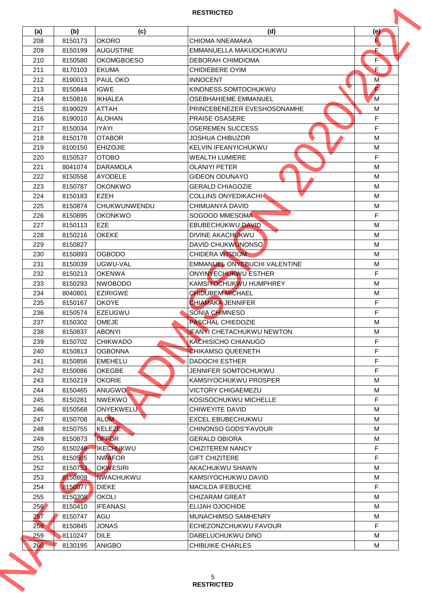| (a)              | (b)     | (c)                 | (d)                              | (e) |
|------------------|---------|---------------------|----------------------------------|-----|
| 208              | 8150173 | <b>OKORO</b>        | CHIOMA NNEAMAKA                  |     |
| 209              | 8150199 | <b>AUGUSTINE</b>    | EMMANUELLA MAKUOCHUKWU           | E   |
| 210              | 8150580 | <b>OKOMGBOESO</b>   | <b>DEBORAH CHIMDIOMA</b>         | F   |
| 211              | 8170103 | <b>EKUMA</b>        | <b>CHIDIEBERE OYIM</b>           | E.  |
| 212              | 8190013 | <b>PAUL OKO</b>     | <b>INNOCENT</b>                  | M   |
| 213              | 8150844 | <b>IGWE</b>         | KINDNESS SOMTOCHUKWU             | F   |
| 214              | 8150816 | <b>IKHALEA</b>      | OSEBHAHIEME EMMANUEL             | M   |
| 215              | 8190029 | <b>ATTAH</b>        | PRINCEBENEZER EVESHOSONAMHE      | M   |
| 216              | 8190010 | <b>ALOHAN</b>       | <b>PRAISE OSASERE</b>            | F   |
| 217              | 8150034 | <b>IYAYI</b>        | <b>OSEREMEN SUCCESS</b>          | F   |
| 218              | 8150178 | <b>OTABOR</b>       | <b>JOSHUA CHIBUZOR</b>           | M   |
| 219              | 8100150 | <b>EHIZOJIE</b>     | KELVIN IFEANYICHUKWU             | M   |
| 220              | 8150537 | <b>OTOBO</b>        | <b>WEALTH LUMIERE</b>            | F   |
| 221              | 8041074 | <b>DARAMOLA</b>     | <b>OLANIYI PETER</b>             | M   |
| 222              | 8150558 | <b>AYODELE</b>      | <b>GIDEON ODUNAYO</b>            | M   |
| 223              | 8150787 | <b>OKONKWO</b>      | <b>GERALD CHIAGOZIE</b>          | M   |
| 224              | 8150183 | <b>EZEH</b>         | <b>COLLINS ONYEDIKACHI</b>       | M   |
| 225              | 8150874 | <b>CHUKWUNWENDU</b> | CHIMUANYA DAVID                  | M   |
| 226              | 8150895 | <b>OKONKWO</b>      | SOGOOD MMESOMA                   | F   |
| 227              | 8150113 | <b>EZE</b>          | EBUBECHUKWU DAVID                | M   |
| 228              | 8150216 | <b>OKEKE</b>        | DIVINE AKACHUKWU                 | M   |
| 229              | 8150827 |                     | <b>DAVID CHUKWUNONSO</b>         | M   |
| 230              | 8150893 | <b>OGBODO</b>       | <b>CHIDERA WISDOM</b>            | M   |
| 231              | 8150039 | UGWU-VAL            | EMMANUEL ONYEBUCHI VALENTINE     | M   |
| 232              | 8150213 | <b>OKENWA</b>       | ONYINYECHUKWU ESTHER             | F.  |
| 233              | 8150293 | <b>NWOBODO</b>      | KAMSIYOCHUKWU HUMPHREY           | M   |
| 234              | 8040801 | <b>EZIRIGWE</b>     | <b>CHIDUBEM MICHAEL</b>          | M   |
| 235              | 8150167 | <b>OKOYE</b>        | <b>CHIAMAKA JENNIFER</b>         | F   |
| 236              | 8150574 | <b>EZEUGWU</b>      | SONIA CHIMNESO                   | F.  |
| 237              | 8150302 | OMEJE               | <b>PASCHAL CHIEDOZIE</b>         | M   |
| 238              | 8150837 | <b>ABONYI</b>       | <b>IFANYI CHETACHUKWU NEWTON</b> | M   |
| 239              | 8150702 | <b>CHIKWADO</b>     | KACHISICHO CHIANUGO              | F.  |
| 240              | 8150813 | <b>OGBONNA</b>      | <b>CHIKAMSO QUEENETH</b>         | F.  |
| 241              | 8150856 | <b>EMEHELU</b>      | <b>DADOCHI ESTHER</b>            | F.  |
| 242              | 8150086 | <b>OKEGBE</b>       | JENNIFER SOMTOCHUKWU             | F   |
| 243              | 8150219 | <b>OKORIE</b>       | KAMSIYOCHUKWU PROSPER            | M   |
| 244              | 8150465 | ANUGWO <sup>1</sup> | <b>VICTORY CHIGAEMEZU</b>        | M   |
| 245              | 8150281 | <b>NWEKWO</b>       | KOSISOCHUKWU MICHELLE            | F.  |
| 246              | 8150568 | ONYEKWELU           | CHIWEYITE DAVID                  | M   |
| 247              | 8150708 | <b>ALUM</b>         | EXCEL EBUBECHUKWU                | М   |
| 248              | 8150755 | KELEZE              | <b>CHINONSO GODS"FAVOUR</b>      | М   |
| 249              | 8150873 | <b>OFFOR</b>        | <b>GERALD OBIORA</b>             | M   |
| 250              | 8150249 | <b>IKECHUKWU</b>    | <b>CHIZITEREM NANCY</b>          | F.  |
| 251              | 8150505 | <b>NWAFOR</b>       | <b>GIFT CHIZITERE</b>            | F   |
| 252              | 8150753 | <b>OKWESIRI</b>     | AKACHUKWU SHAWN                  | M   |
| 253              | 8150809 | <b>NWACHUKWU</b>    | KAMSIYOCHUKWU DAVID              | М   |
| 254              | 8150077 | <b>DIEKE</b>        | <b>MACILDA IFEBUCHE</b>          | F.  |
| 255              | 8150308 | <b>OKOLI</b>        | <b>CHIZARAM GREAT</b>            | M   |
| 256              | 8150410 | <b>IFEANASI</b>     | <b>ELIJAH OJOCHIDE</b>           | M   |
| 257              | 8150747 | <b>AGU</b>          | MUNACHIMSO SAMHENRY              | M   |
| 258              | 8150845 | <b>JONAS</b>        | ECHEZONZCHUKWU FAVOUR            | F   |
| 259              | 8110247 | <b>DILE</b>         | DABELUCHUKWU DINO                | M   |
| 260 <sub>1</sub> | 8130195 | <b>ANIGBO</b>       | <b>CHIBUIKE CHARLES</b>          | М   |
|                  |         |                     |                                  |     |
|                  |         |                     |                                  |     |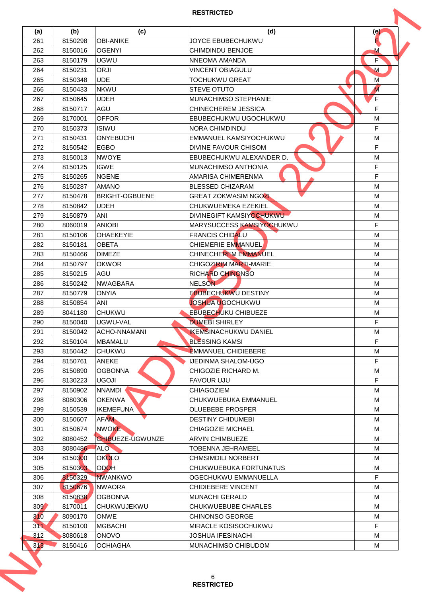| (a)     | (b)     | (c)                     | (d)                          | (e)            |
|---------|---------|-------------------------|------------------------------|----------------|
| 261     | 8150298 | <b>OBI-ANIKE</b>        | JOYCE EBUBECHUKWU            |                |
| 262     | 8150016 | <b>OGENYI</b>           | CHIMDINDU BENJOE             | м              |
| 263     | 8150179 | <b>UGWU</b>             | NNEOMA AMANDA                | F              |
| 264     | 8150231 | <b>ORJI</b>             | <b>VINCENT OBIAGULU</b>      | $\mathbf M$    |
| 265     | 8150348 | <b>UDE</b>              | <b>TOCHUKWU GREAT</b>        | M              |
| 266     | 8150433 | <b>NKWU</b>             | <b>STEVE OTUTO</b>           | $\overline{M}$ |
| 267     | 8150645 | <b>UDEH</b>             | MUNACHIMSO STEPHANIE         | F              |
| 268     | 8150717 | AGU                     | <b>CHINECHEREM JESSICA</b>   | F.             |
| 269     | 8170001 | <b>OFFOR</b>            | EBUBECHUKWU UGOCHUKWU        | м              |
| 270     | 8150373 | <b>ISIWU</b>            | NORA CHIMDINDU               | F              |
| 271     | 8150431 | <b>ONYEBUCHI</b>        | EMMANUEL KAMSIYOCHUKWU       | M              |
| 272     | 8150542 | <b>EGBO</b>             | <b>DIVINE FAVOUR CHISOM</b>  | F              |
| 273     | 8150013 | <b>NWOYE</b>            | EBUBECHUKWU ALEXANDER D.     | M              |
| 274     | 8150125 | <b>IGWE</b>             | MUNACHIMSO ANTHONIA          | F              |
| 275     | 8150265 | <b>NGENE</b>            | AMARISA CHIMERENMA           | F              |
| 276     | 8150287 | <b>AMANO</b>            | <b>BLESSED CHIZARAM</b>      | M              |
| 277     | 8150478 | BRIGHT-OGBUENE          | <b>GREAT ZOKWASIM NGOZI</b>  | M              |
| 278     | 8150842 | <b>UDEH</b>             | CHUKWUEMEKA EZEKIEL          | M              |
| 279     | 8150879 | ANI                     | DIVINEGIFT KAMSIYOCHUKWU     | M              |
| 280     | 8060019 | <b>ANIOBI</b>           | MARYSUCCESS KAMSIYOCHUKWU    | F.             |
| 281     | 8150106 | <b>OHAEKEYIE</b>        | <b>FRANCIS CHIDALU</b>       | M              |
| 282     | 8150181 | <b>OBETA</b>            | <b>CHIEMERIE EMMANUEL</b>    | M              |
| 283     | 8150466 | <b>DIMEZE</b>           | CHINECHEREM EMMANUEL         | M              |
| 284     | 8150797 | <b>OKWOR</b>            | CHIGOZIRIM MARTI-MARIE       | M              |
| 285     | 8150215 | AGU                     | RICHARD CHINONSO             | м              |
| 286     | 8150242 | <b>NWAGBARA</b>         | <b>NELSON</b>                | M              |
| 287     | 8150779 | <b>ONYIA</b>            | <b>EBUBECHUKWU DESTINY</b>   | M              |
| 288     | 8150854 | <b>ANI</b>              | <b>JOSHUA UGOCHUKWU</b>      | M              |
| 289     | 8041180 | <b>CHUKWU</b>           | <b>EBUBECHUKU CHIBUEZE</b>   | M              |
| 290     | 8150040 | UGWU-VAL                | <b>DUMEBI SHIRLEY</b>        | F              |
| 291     | 8150042 | ACHO-NNAMANI            | <b>IKEMSINACHUKWU DANIEL</b> | M              |
| 292     | 8150104 | <b>MBAMALU</b>          | <b>BLESSING KAMSI</b>        | F.             |
| 293     | 8150442 | <b>CHUKWU</b>           | <b>EMMANUEL CHIDIEBERE</b>   | М              |
| 294     | 8150761 | <b>ANEKE</b>            | <b>IJEDINMA SHALOM-UGO</b>   | F.             |
| 295     | 8150890 | <b>OGBONNA</b>          | CHIGOZIE RICHARD M.          | M              |
| 296     | 8130223 | <b>UGOJI</b>            | <b>FAVOUR UJU</b>            | F.             |
| 297     | 8150902 | <b>NNAMDI</b>           | <b>CHIAGOZIEM</b>            | M              |
| 298     | 8080306 | <b>OKENWA</b>           | CHUKWUEBUKA EMMANUEL         | M              |
| 299     | 8150539 | <b>IKEMEFUNA</b>        | OLUEBEBE PROSPER             | M              |
| 300     | 8150607 | <b>AFAM</b>             | <b>DESTINY CHIDUMEBI</b>     | М              |
| 301     | 8150674 | NWOKE                   | <b>CHIAGOZIE MICHAEL</b>     | М              |
| 302     | 8080452 | <b>CHIBUEZE-UGWUNZE</b> | <b>ARVIN CHIMBUEZE</b>       | M              |
| 303     | 8080486 | <b>ALO</b>              | <b>TOBENNA JEHRAMEEL</b>     | M              |
| 304     | 8150300 | <b>OKOLO</b>            | <b>CHMSIMDILI NORBERT</b>    | M              |
| 305     | 8150303 | <b>ODOH</b>             | CHUKWUEBUKA FORTUNATUS       | M              |
| 306     | 8150329 | <b>NWANKWO</b>          | OGECHUKWU EMMANUELLA         | F              |
| 307     | 8150676 | <b>NWAORA</b>           | <b>CHIDIEBERE VINCENT</b>    | M              |
| 308     | 8150838 | <b>OGBONNA</b>          | <b>MUNACHI GERALD</b>        | M              |
| 309     | 8170011 | CHUKWUJEKWU             | CHUKWUEBUBE CHARLES          | М              |
| 310     | 8090170 | <b>ONWE</b>             | <b>CHINONSO GEORGE</b>       | М              |
| 311     | 8150100 | <b>MGBACHI</b>          | MIRACLE KOSISOCHUKWU         | F.             |
| 312     | 8080618 | <b>ONOVO</b>            | <b>JOSHUA IFESINACHI</b>     | M              |
| $313 -$ | 8150416 | <b>OCHIAGHA</b>         | MUNACHIMSO CHIBUDOM          | М              |
|         |         |                         |                              |                |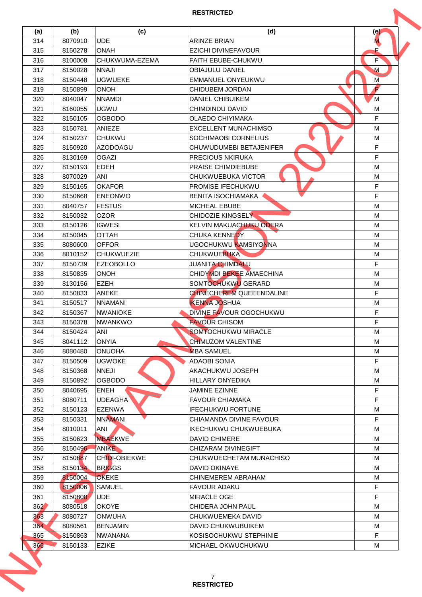| (a) | (b)     | (c)                          | (d)                                   | (e)    |
|-----|---------|------------------------------|---------------------------------------|--------|
| 314 | 8070910 | <b>UDE</b>                   | <b>ARINZE BRIAN</b>                   | M.     |
| 315 | 8150278 | <b>ONAH</b>                  | <b>EZICHI DIVINEFAVOUR</b>            | E      |
| 316 | 8100008 | CHUKWUMA-EZEMA               | <b>FAITH FBUBE-CHUKWU</b>             | F      |
| 317 | 8150028 | <b>NNAJI</b>                 | <b>OBIAJULU DANIEL</b>                | M      |
| 318 | 8150448 | <b>UGWUEKE</b>               | <b>EMMANUEL ONYEUKWU</b>              | M      |
| 319 | 8150899 | <b>ONOH</b>                  | <b>CHIDUBEM JORDAN</b>                | F      |
| 320 | 8040047 | <b>NNAMDI</b>                | <b>DANIEL CHIBUIKEM</b>               | M      |
| 321 | 8160055 | <b>UGWU</b>                  | CHIMDINDU DAVID                       | M      |
| 322 | 8150105 | <b>OGBODO</b>                | <b>OLAEDO CHIYIMAKA</b>               | F      |
| 323 | 8150781 | <b>ANIEZE</b>                | <b>EXCELLENT MUNACHIMSO</b>           | M      |
| 324 | 8150237 | <b>CHUKWU</b>                | SOCHIMAOBI CORNELIUS                  | M      |
| 325 | 8150920 | <b>AZODOAGU</b>              | CHUWUDUMEBI BETAJENIFER               | F      |
| 326 | 8130169 | <b>OGAZI</b>                 | <b>PRECIOUS NKIRUKA</b>               | F      |
| 327 | 8150193 | <b>EDEH</b>                  | <b>PRAISE CHIMDIEBUBE</b>             | M      |
| 328 | 8070029 | ANI                          | CHUKWUEBUKA VICTOR                    | M      |
| 329 | 8150165 | <b>OKAFOR</b>                | PROMISE IFECHUKWU                     | F      |
| 330 | 8150668 | <b>ENEONWO</b>               | <b>BENITA ISOCHIAMAKA</b>             | F.     |
| 331 | 8040757 | <b>FESTUS</b>                | <b>MICHEAL EBUBE</b>                  | M      |
| 332 | 8150032 | <b>OZOR</b>                  | CHIDOZIE KINGSELY                     | M      |
| 333 | 8150126 | <b>IGWESI</b>                | KELVIN MAKUACHUKU ODERA               | M      |
|     |         |                              |                                       |        |
| 334 | 8150045 | <b>OTTAH</b><br><b>OFFOR</b> | CHUKA KENNEDY<br>UGOCHUKWU KAMSIYONNA | M<br>M |
| 335 | 8080600 |                              |                                       |        |
| 336 | 8010152 | <b>CHUKWUEZIE</b>            | <b>CHUKWUEBUKA</b>                    | M      |
| 337 | 8150739 | <b>EZEOBOLLO</b>             | <b>JUANITA CHIMDALU</b>               | F.     |
| 338 | 8150835 | <b>ONOH</b>                  | CHIDYMDI BEKEE AMAECHINA              | M      |
| 339 | 8130156 | <b>EZEH</b>                  | SOMTOCHUKWU GERARD                    | M      |
| 340 | 8150833 | <b>ANEKE</b>                 | <b>CHINECHEREM QUEEENDALINE</b>       | F.     |
| 341 | 8150517 | <b>NNAMANI</b>               | <b>IKENNA JOSHUA</b>                  | M      |
| 342 | 8150367 | <b>NWANIOKE</b>              | DIVINE FAVOUR OGOCHUKWU               | F.     |
| 343 | 8150378 | <b>NWANKWO</b>               | <b>FAVOUR CHISOM</b>                  | F      |
| 344 | 8150424 | ANI                          | <b>SOMTOCHUKWU MIRACLE</b>            | M      |
| 345 | 8041112 | <b>ONYIA</b>                 | CHIMUZOM VALENTINE                    | M      |
| 346 | 8080480 | <b>ONUOHA</b>                | <b>MBA SAMUEL</b>                     | M      |
| 347 | 8150509 | <b>UGWOKE</b>                | <b>ADAOBI SONIA</b>                   | F.     |
| 348 | 8150368 | <b>NNEJI</b>                 | AKACHUKWU JOSEPH                      | M      |
| 349 | 8150892 | <b>OGBODO</b>                | HILLARY ONYEDIKA                      | М      |
| 350 | 8040695 | <b>ENEH</b>                  | <b>JAMINE EZINNE</b>                  | F      |
| 351 | 8080711 | <b>UDEAGHA</b>               | <b>FAVOUR CHIAMAKA</b>                | F.     |
| 352 | 8150123 | EZENWA                       | <b>IFECHUKWU FORTUNE</b>              | M      |
| 353 | 8150331 | <b>NNAMANI</b>               | CHIAMANDA DIVINE FAVOUR               | F.     |
| 354 | 8010011 | ANI                          | IKECHUKWU CHUKWUEBUKA                 | м      |
| 355 | 8150623 | <b>MBAEKWE</b>               | <b>DAVID CHIMERE</b>                  | M      |
| 356 | 8150496 | ANIKE                        | CHIZARAM DIVINEGIFT                   | M      |
| 357 | 8150887 | CHIDI-OBIEKWE                | CHUKWUECHETAM MUNACHISO               | M      |
| 358 | 8150134 | <b>BRIGGS</b>                | <b>DAVID OKINAYE</b>                  | M      |
| 359 | 8150004 | <b>OKEKE</b>                 | CHINEMEREM ABRAHAM                    | М      |
| 360 | 8150006 | <b>SAMUEL</b>                | <b>FAVOUR ADAKU</b>                   | F.     |
| 361 | 8150808 | <b>UDE</b>                   | <b>MIRACLE OGE</b>                    | F.     |
| 362 | 8080518 | <b>OKOYE</b>                 | CHIDERA JOHN PAUL                     | M      |
| 363 | 8080727 | ONWUHA                       | CHUKWUEMEKA DAVID                     | M      |
| 364 | 8080561 | <b>BENJAMIN</b>              | DAVID CHUKWUBUIKEM                    | M      |
| 365 | 8150863 | <b>NWANANA</b>               | KOSISOCHUKWU STEPHINIE                | F.     |
| 366 | 8150133 | <b>EZIKE</b>                 | MICHAEL OKWUCHUKWU                    | М      |
|     |         |                              | 7                                     |        |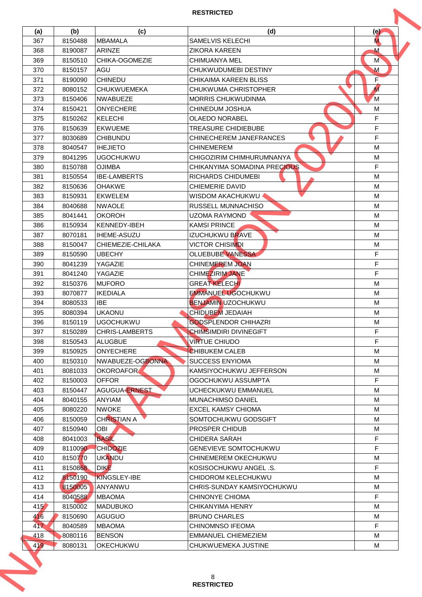|     |         |                       | <b>RESTRICTED</b>            |                |
|-----|---------|-----------------------|------------------------------|----------------|
| (a) | (b)     | (c)                   | (d)                          | (e)            |
| 367 | 8150488 | <b>MBAMALA</b>        | <b>SAMELVIS KELECHI</b>      | M.             |
| 368 | 8190087 | <b>ARINZE</b>         | <b>ZIKORA KARFEN</b>         | м              |
| 369 | 8150510 | <b>CHIKA-OGOMEZIE</b> | CHIMUANYA MEL                | M              |
| 370 | 8150157 | AGU                   | CHUKWUDUMEBI DESTINY         | M              |
| 371 | 8190090 | <b>CHINEDU</b>        | CHIKAIMA KAREEN BLISS        | F              |
| 372 | 8080152 | <b>CHUKWUEMEKA</b>    | CHUKWUMA CHRISTOPHER         | $\overline{M}$ |
| 373 | 8150406 | <b>NWABUEZE</b>       | <b>MORRIS CHUKWUDINMA</b>    | M              |
| 374 | 8150421 | <b>ONYECHERE</b>      | CHINEDUM JOSHUA              | м              |
| 375 | 8150262 | KELECHI               | <b>OLAEDO NORABEL</b>        | F              |
| 376 | 8150639 | <b>EKWUEME</b>        | <b>TREASURE CHIDIEBUBE</b>   | F              |
| 377 | 8030689 | <b>CHIBUNDU</b>       | CHINECHEREM JANEFRANCES      | F              |
| 378 | 8040547 | <b>IHEJIETO</b>       | <b>CHINEMEREM</b>            | M              |
| 379 | 8041295 | <b>UGOCHUKWU</b>      | CHIGOZIRIM CHIMHURUMNANYA    | M              |
| 380 | 8150788 | <b>OJIMBA</b>         | CHIKANYIMA SOMADINA PRECIOUS | F              |
| 381 | 8150554 | <b>IBE-LAMBERTS</b>   | <b>RICHARDS CHIDUMEBI</b>    | M              |
| 382 | 8150636 | <b>OHAKWE</b>         | <b>CHIEMERIE DAVID</b>       | M              |
| 383 | 8150931 | EKWELEM               | WISDOM AKACHUKWU <           | M              |
| 384 | 8040688 | <b>NWAOLE</b>         | RUSSELL MUNNACHISO           | M              |
| 385 | 8041441 | <b>OKOROH</b>         | UZOMA RAYMOND                | M              |
| 386 | 8150934 | KENNEDY-IBEH          | <b>KAMSI PRINCE</b>          | M              |
| 387 | 8070181 | <b>IHEME-ASUZU</b>    | IZUCHUKWU BRAVE              | M              |
| 388 | 8150047 | CHIEMEZIE-CHILAKA     | <b>VICTOR CHISIMDI</b>       | M              |
| 389 | 8150590 | <b>UBECHY</b>         | OLUEBUBE VANESSA             | F.             |
| 390 | 8041239 | YAGAZIE               | <b>CHINEMEREM JOAN</b>       | F.             |
| 391 | 8041240 | YAGAZIE               | <b>CHIMEZIRIM JANE</b>       | F              |
| 392 | 8150376 | <b>MUFORO</b>         | <b>GREAT KELECHI</b>         | M              |
| 393 | 8070877 | <b>IKEDIALA</b>       | <b>EMMANUEL UGOCHUKWU</b>    | м              |
| 394 | 8080533 | IBE.                  | <b>BENJAMIN UZOCHUKWU</b>    | M              |
| 395 | 8080394 | <b>UKAONU</b>         | <b>CHIDUBEM JEDAIAH</b>      | M              |
| 396 | 8150119 | <b>UGOCHUKWU</b>      | <b>GODSPLENDOR CHIHAZRI</b>  | M              |
| 397 | 8150289 | <b>CHRIS-LAMBERTS</b> | CHIMSIMDIRI DIVINEGIFT       | F              |
| 398 | 8150543 | ALUGBUE               | <b>VIRTUE CHIUDO</b>         | F              |
| 399 | 8150925 | <b>ONYECHERE</b>      | <b>CHIBUKEM CALEB</b>        | м              |
| 400 | 8150310 | NWABUEZE-OGBONNA      | <b>SUCCESS ENYIOMA</b>       | м              |
| 401 | 8081033 | OKOROAFOR             | KAMSIYOCHUKWU JEFFERSON      | M              |
| 402 | 8150003 | <b>OFFOR</b>          | OGOCHUKWU ASSUMPTA           | F.             |
| 403 | 8150447 | <b>AGUGUA-ERNEST</b>  | UCHECKUKWU EMMANUEL          | M              |
| 404 | 8040155 | <b>ANYIAM</b>         | <b>MUNACHIMSO DANIEL</b>     | M              |
| 405 | 8080220 | <b>NWOKE</b>          | EXCEL KAMSY CHIOMA           | М              |
| 406 | 8150059 | CHRISTIAN A           | SOMTOCHUKWU GODSGIFT         | М              |
| 407 | 8150940 | OBI                   | <b>PROSPER CHIDUB</b>        | м              |
| 408 | 8041003 | <b>BASIL</b>          | <b>CHIDERA SARAH</b>         | F              |
| 409 | 8110090 | <b>CHIDOZIE</b>       | GENEVIEVE SOMTOCHUKWU        | F.             |
| 410 | 8150770 | <b>UKANDU</b>         | CHINEMEREM OKECHUKWU         | M              |
| 411 | 8150868 | <b>DIKE</b>           | KOSISOCHUKWU ANGEL .S.       | F.             |
| 412 | 8150190 | <b>KINGSLEY-IBE</b>   | CHIDOROM KELECHUKWU          | M              |
| 413 | 8150005 | ANYANWU               | CHRIS-SUNDAY KAMSIYOCHUKWU   | M              |
| 414 | 8040588 | <b>MBAOMA</b>         | <b>CHINONYE CHIOMA</b>       | F.             |
| 415 | 8150002 | IMADUBUKO I           | CHIKANYIMA HENRY             | M              |
| 416 | 8150690 | <b>AGUGUO</b>         | <b>BRUNO CHARLES</b>         | М              |
| 417 | 8040589 | <b>MBAOMA</b>         | <b>CHINOMNSO IFEOMA</b>      | F.             |
| 418 | 8080116 | <b>BENSON</b>         | EMMANUEL CHIEMEZIEM          | M              |
| 419 | 8080131 | OKECHUKWU             | CHUKWUEMEKA JUSTINE          | М              |
|     |         |                       | 8                            |                |